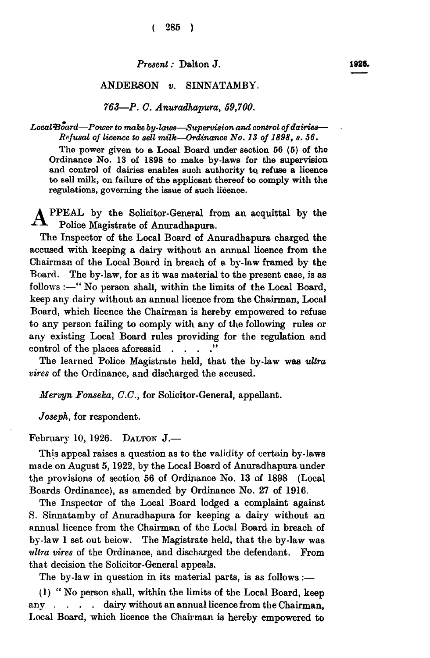*Present:* Dalton **J .** 

## ANDERSON *v.* SINNATAMBY.

*763—P. C. Anuradhapura, 59,700.* 

*Local&oard—Power to make by-laws—Supervision and control of dairies— Refusal of licence to sell milk—Ordinance No. 13 of 1898, s. 56.* 

**The power given to a Local Board under section 66 (6) of the Ordinance No. 13 of 1898 to make by-laws for the supervision and control of dairies enables such authority to. refuse a licence to sell milk, on failure of the applicant thereof to comply with the regulations, governing the issue of such licence.** 

PPEAL by the Solicitor-General from an acquittal by the Police Magistrate of Anuradhapura.

The Inspector of the Local Board of Anuradhapura charged the accused with keeping a dairy without an annual licence from the Chairman of the Local Board in breach of a by-law framed by the Board. The by-law, for as it was material to the present case, is as follows :—" No person shall, within the limits of the Local Board, keep any dairy without an annual licence from the Chairman, Local Board, which licence the Chairman is hereby empowered to refuse to any person failing to comply with any of the following rules or any existing Local Board rules providing for the regulation and control of the places aforesaid . .

The learned Police Magistrate held, that the by-law was *ultra vires* of the Ordinance, and discharged the accused.

*Mervyn Fonseka, C.C.,* for Solicitor-General, appellant.

*Joseph,* for respondent.

## February **10 , 1926 . DALTON J.—**

This appeal raises a question as to the validity of certain by-laws made on August **5,1922 ,** by the Local Board of Anuradhapura under the provisions of section **5 6** of Ordinance No. **1 3** of **189 8** (Local Boards Ordinance), as amended by Ordinance No. 27 of 1916.

The Inspector of the Local Board lodged a complaint against S. Sinnatamby of Anuradhapura for keeping a dairy without an annual licence from the Chairman of the Local Board in breach of by-law 1 set out beiow. The Magistrate held, that the by-law was *ultra vires* of the Ordinance, and discharged the defendant. From that decision the Solicitor-General appeals.

The by-law in question in its material parts, is as follows:—

(1) " No person shall, within the limits of the Local Board, keep any . . . . dairy without an annual licence from the Chairman, Local Board, which licence the Chairman is hereby empowered to 1926.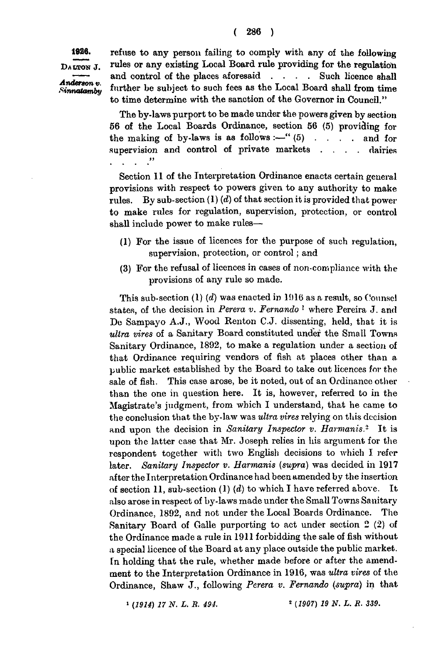*Anderson*  $v$ .

**1926.** refuse to any person failing to comply with any of the following DALTON J. rules or any existing Local Board rule providing for the regulation  $\iota$  control of the places aforesaid  $\ldots$  . . . Such licence shall Anderson v.<br>Sinnatamby further be subject to such fees as the Local Board shall from time to time determine with the sanction of the Governor in Council."

> The by-laws purport to be made under the powers given by section 66 of the Local Boards Ordinance, section 56 (5) providing for the making of by-laws is as follows :--" $(5)$  . . . . and for supervision and control of private markets . . . . dairies *it*   $\mathbf{1}$   $\mathbf{1}$   $\mathbf{1}$

> Section 11 of the Interpretation Ordinance enacts certain general provisions with respect to powers given to any authority to make rules. By sub-section (1) *(d)* of that section it is provided that power to make rules for regulation, supervision, protection, or control shall include power to make rules—

- (1) For the issue of licences for the purpose of such regulation, supervision, protection, or control; and
- (3) For the refusal of licences in cases of non-compliance with the provisions of any rule so made.

This sub-section  $(1)$   $(d)$  was enacted in 1916 as a result, so Counsel states, of the decision in *Perera v. Fernando* 1 where Pereira J. and De Sampayo A.J., Wood Renton C.J. dissenting, held, that it is *ultra vires* of a Sanitary Board constituted under the Small Towns Sanitary Ordinance, 1892, to make a regulation under a section of that Ordinance requiring vendors of fish at places other than a public market established by the Board to take out licences for the sale of fish. This case arose, be it noted, out of an Ordinance other than the one in question here. It is, however, referred to in the Magistrate's judgment, from which I understand, that he came to the conclusion that the by-law was *ultra vires* relying on this decision and upon the decision in *Sanitary Inspector v. Harmanis.<sup>2</sup>* It is upon the latter case that Mr. Joseph relies in his argument for the respondent together with two English decisions to which I refer later. *Sanitary Inspector v. Harmanis (supra)* was decided in 1917 after the Interpretation Ordinance had been amended by the insertion of section 11, sub-section (1) *(d)* to which I have referred above. It also arose in respect of by-laws made under the Small Towns Sanitary Ordinance, 1892, and not under the Local Boards Ordinance. The Sanitary Board of Galle purporting to act under section 2 (2) of the Ordinance made a rule in 1911 forbidding the sale of fish without a special licence of the Board at any place outside the public market. In holding that the rule, whether made before or after the amendment to the Interpretation Ordinance in 1916, was *ultra vires* of the Ordinance, Shaw J., following *Perera v. Fernando (supra)* in that

*1 (1914) 17 N. L. R. 494. 2 (1907) 19 N. L. R. 339.*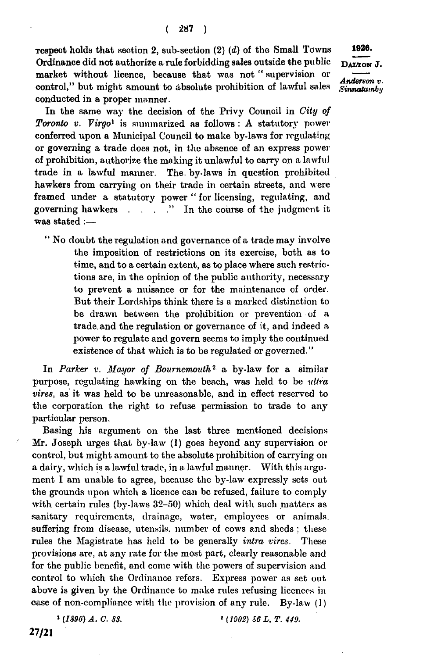**Tespect** holds that section 2, sub-section  $(2)$   $(d)$  of the Small Towns 1926. Ordinance did not authorize a rule forbidding sales outside the public DAYON J. market without licence, because that was not "supervision or  $\overline{Anderson v}$ . control," but might amount to absolute prohibition of lawful sales Sinnatainbi conducted **in** a proper manner.

In the same way the decision of the Privy Council in *City of Toronto v. Virgo<sup>1</sup>* is summarized as follows : A statutory power conferred upon a Municipal Council to make by-laws for regulating or governing a trade does not. in the absence of an express power of prohibition, authorize the making it unlawful to carry on a lawful trade in a lawful manner. The. by-laws in question prohibited hawkers from carrying on their trade in certain streets, and were framed under a statutory power " for licensing, regulating, and governing hawkers . . . . " In the course of the judgment it was stated :—

" No doubt the regulation and governance of a trade may involve the imposition of restrictions on its exercise, both as to time, and to a certain extent, as to place where such restrictions are, in the opinion of the public authority, necessary to prevent a nuisance or for the maintenance of order. But their Lordships think there is a marked distinction to be drawn between the prohibition or prevention of a trade, and the regulation or governance of it, and indeed a power to regulate and govern seems to imply the continued existence of that which is to be regulated or governed."

In *Parker v. Mayor of Bournemouth*<sup>2</sup> a by-law for a similar purpose, regulating hawking on the beach, was held to be *ultra vires,* as it was held to be unreasonable, and in effect reserved to the corporation the right to refuse permission to trade to any particular person.

Basing his argument on the last three mentioned decisions Mr. Joseph urges that by-law (1) goes beyond any supervision or control, but might amount to the absolute prohibition of carrying on a dairy, which is a lawful trade, in a lawful manner. With this argument I am unable to agree, because the by-law expressly sets out the grounds upon which a licence can be refused, failure to comply with certain rules (by-laws 32-50) which deal with such matters as sanitary requirements, drainage, water, employees or animals, suffering from disease, utensils, number of cows and sheds ; these rules the Magistrate has held to be generally *intra vires.* These provisions are, at any rate for the most part, clearly reasonable and for the public benefit, and come with the powers of supervision and control to which the Ordinance refers. Express power as set out above is given by the Ordinance to make rules refusing licences in case of non-compliance with the provision of any rule. By-law (1)

 *(1896) A. C. 88.* 2 *(1902) S6 L. T. 449.* 

<sup>&</sup>lt;sup>1</sup> (1896) A. C. 88.